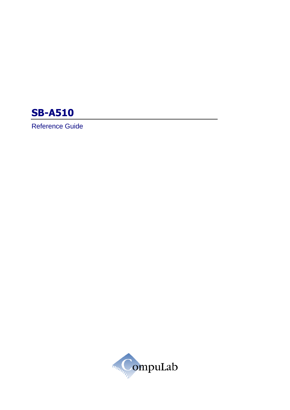

Reference Guide

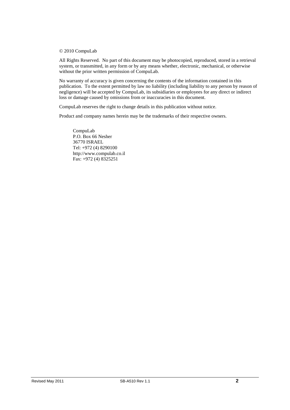#### © 2010 CompuLab

All Rights Reserved. No part of this document may be photocopied, reproduced, stored in a retrieval system, or transmitted, in any form or by any means whether, electronic, mechanical, or otherwise without the prior written permission of CompuLab.

No warranty of accuracy is given concerning the contents of the information contained in this publication. To the extent permitted by law no liability (including liability to any person by reason of negligence) will be accepted by CompuLab, its subsidiaries or employees for any direct or indirect loss or damage caused by omissions from or inaccuracies in this document.

CompuLab reserves the right to change details in this publication without notice.

Product and company names herein may be the trademarks of their respective owners.

CompuLab P.O. Box 66 Nesher 36770 ISRAEL Tel: +972 (4) 8290100 http://www.compulab.co.il Fax: +972 (4) 8325251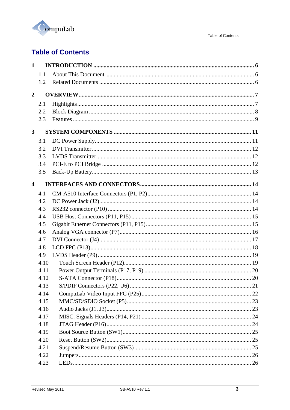

# **Table of Contents**

| $\mathbf{1}$            |      |  |
|-------------------------|------|--|
|                         | 1.1  |  |
|                         | 1.2  |  |
| $\overline{2}$          |      |  |
|                         | 2.1  |  |
|                         | 2.2  |  |
|                         | 2.3  |  |
| $\mathbf{3}$            |      |  |
|                         | 3.1  |  |
|                         | 3.2  |  |
|                         | 3.3  |  |
|                         | 3.4  |  |
|                         | 3.5  |  |
| $\overline{\mathbf{4}}$ |      |  |
|                         | 4.1  |  |
|                         | 4.2  |  |
|                         | 4.3  |  |
|                         | 4.4  |  |
|                         | 4.5  |  |
|                         | 4.6  |  |
|                         | 4.7  |  |
|                         | 4.8  |  |
|                         | 4.9  |  |
|                         | 4.10 |  |
|                         | 4.11 |  |
|                         | 4.12 |  |
|                         | 4.13 |  |
|                         | 4.14 |  |
|                         | 4.15 |  |
|                         | 4.16 |  |
|                         | 4.17 |  |
|                         | 4.18 |  |
|                         | 4.19 |  |
|                         | 4.20 |  |
|                         | 4.21 |  |
|                         | 4.22 |  |
|                         | 4.23 |  |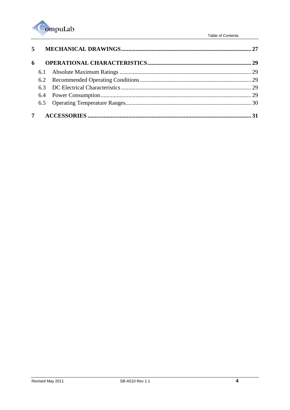

| 6 |    |  |  |
|---|----|--|--|
|   |    |  |  |
|   |    |  |  |
|   | 63 |  |  |
|   |    |  |  |
|   |    |  |  |
| 7 |    |  |  |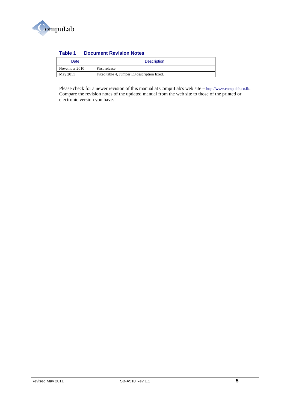| Date          | <b>Description</b>                          |  |
|---------------|---------------------------------------------|--|
| November 2010 | First release                               |  |
| May 2011      | Fixed table 4, Jumper E8 description fixed. |  |

### **Table 1 Document Revision Notes**

Please check for a newer revision of this manual at CompuLab's web site – <http://www.compulab.co.il/>. Compare the revision notes of the updated manual from the web site to those of the printed or electronic version you have.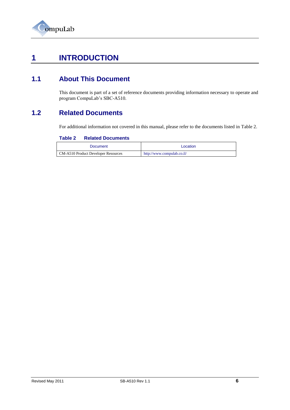

# <span id="page-5-0"></span>**1 INTRODUCTION**

## <span id="page-5-1"></span>**1.1 About This Document**

This document is part of a set of reference documents providing information necessary to operate and program CompuLab's SBC-A510.

## <span id="page-5-3"></span><span id="page-5-2"></span>**1.2 Related Documents**

For additional information not covered in this manual, please refer to the documents listed in [Table 2.](#page-5-3)

### **Table 2 Related Documents**

| Document                                   | Location                   |
|--------------------------------------------|----------------------------|
| <b>CM-A510 Product Developer Resources</b> | http://www.compulab.co.il/ |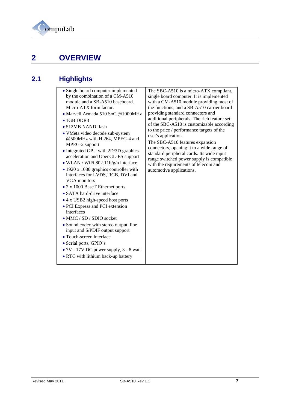

# <span id="page-6-0"></span>**2 OVERVIEW**

# <span id="page-6-1"></span>**2.1 Highlights**

| • Single board computer implemented<br>by the combination of a CM-A510<br>module and a SB-A510 baseboard.<br>Micro-ATX form factor.<br>· Marvell Armada 510 SoC @1000MHz<br>$\bullet$ 1GB DDR3<br>• 512MB NAND flash<br>• VMeta video decode sub-system<br>@500MHz with H.264, MPEG-4 and<br>MPEG-2 support<br>• Integrated GPU with 2D/3D graphics<br>acceleration and OpenGL-ES support<br>• WLAN / WiFi 802.11b/g/n interface<br>• 1920 x 1080 graphics controller with<br>interfaces for LVDS, RGB, DVI and<br>VGA monitors<br>• 2 x 1000 BaseT Ethernet ports<br>• SATA hard-drive interface<br>• 4 x USB2 high-speed host ports<br>• PCI Express and PCI extension<br>interfaces<br>• MMC / SD / SDIO socket<br>• Sound codec with stereo output, line<br>input and S/PDIF output support<br>• Touch-screen interface<br>• Serial ports, GPIO's<br>• 7V - 17V DC power supply, 3 - 8 watt<br>• RTC with lithium back-up battery | The SBC-A510 is a micro-ATX compliant,<br>single board computer. It is implemented<br>with a CM-A510 module providing most of<br>the functions, and a SB-A510 carrier board<br>providing standard connectors and<br>additional peripherals. The rich feature set<br>of the SBC-A510 is customizable according<br>to the price / performance targets of the<br>user's application.<br>The SBC-A510 features expansion<br>connectors, opening it to a wide range of<br>standard peripheral cards. Its wide input<br>range switched power supply is compatible<br>with the requirements of telecom and<br>automotive applications. |
|---------------------------------------------------------------------------------------------------------------------------------------------------------------------------------------------------------------------------------------------------------------------------------------------------------------------------------------------------------------------------------------------------------------------------------------------------------------------------------------------------------------------------------------------------------------------------------------------------------------------------------------------------------------------------------------------------------------------------------------------------------------------------------------------------------------------------------------------------------------------------------------------------------------------------------------|---------------------------------------------------------------------------------------------------------------------------------------------------------------------------------------------------------------------------------------------------------------------------------------------------------------------------------------------------------------------------------------------------------------------------------------------------------------------------------------------------------------------------------------------------------------------------------------------------------------------------------|
|---------------------------------------------------------------------------------------------------------------------------------------------------------------------------------------------------------------------------------------------------------------------------------------------------------------------------------------------------------------------------------------------------------------------------------------------------------------------------------------------------------------------------------------------------------------------------------------------------------------------------------------------------------------------------------------------------------------------------------------------------------------------------------------------------------------------------------------------------------------------------------------------------------------------------------------|---------------------------------------------------------------------------------------------------------------------------------------------------------------------------------------------------------------------------------------------------------------------------------------------------------------------------------------------------------------------------------------------------------------------------------------------------------------------------------------------------------------------------------------------------------------------------------------------------------------------------------|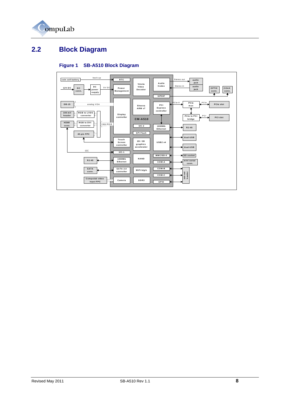

# <span id="page-7-0"></span>**2.2 Block Diagram**

### **Figure 1 SB-A510 Block Diagram**

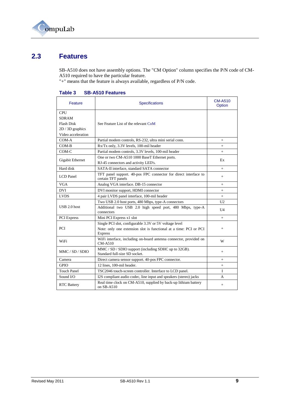

## <span id="page-8-0"></span>**2.3 Features**

SB-A510 does not have assembly options. The "CM Option" column specifies the P/N code of CM-A510 required to have the particular feature.

"+" means that the feature is always available, regardless of P/N code.

| Feature                                                                        | <b>Specifications</b>                                                                 |                   |
|--------------------------------------------------------------------------------|---------------------------------------------------------------------------------------|-------------------|
| <b>CPU</b>                                                                     |                                                                                       |                   |
| <b>SDRAM</b>                                                                   |                                                                                       |                   |
| <b>Flash Disk</b>                                                              | See Feature List of the relevant CoM                                                  |                   |
| $2D / 3D$ graphics                                                             |                                                                                       |                   |
| Video acceleration                                                             |                                                                                       |                   |
| COM-A                                                                          | Partial modem controls, RS-232, ultra mini serial conn.                               | $\qquad \qquad +$ |
| $COM-B$                                                                        | Rx/Tx only, 3.3V levels, 100-mil header                                               | $+$               |
| COM-C                                                                          | Partial modem controls, 3.3V levels, 100-mil header                                   | $+$               |
|                                                                                | One or two CM-A510 1000 BaseT Ethernet ports.                                         |                   |
| Gigabit Ethernet                                                               | RJ-45 connectors and activity LED's.                                                  | Ex                |
| Hard disk                                                                      | SATA-II interface, standard SATA connector                                            | $+$               |
| LCD Panel                                                                      | TFT panel support. 40-pos FPC connector for direct interface to<br>certain TFT panels | $+$               |
| <b>VGA</b>                                                                     | Analog VGA interface. DB-15 connector                                                 | $+$               |
| <b>DVI</b>                                                                     | DVI monitor support, HDMI connector                                                   | $^{+}$            |
| <b>LVDS</b>                                                                    | 4 pair LVDS panel interface, 100-mil header                                           | $+$               |
|                                                                                | Two USB 2.0 host ports, 480 Mbps, type-A connectors                                   | U <sub>2</sub>    |
| $\text{USB } 2.0 \text{ host}$                                                 | Additional two USB 2.0 high speed port, 480 Mbps, type-A<br>connectors                | U4                |
| <b>PCI</b> Express                                                             | Mini PCI Express x1 slot                                                              | $^{+}$            |
|                                                                                | Single PCI slot, configurable 3.3V or 5V voltage level                                |                   |
| PCI                                                                            | Note: only one extension slot is functional at a time: PCI or PCI<br><b>Express</b>   | $^{+}$            |
| WiFi                                                                           | WiFi interface, including on-board antenna connector, provided on<br>$CM-4510$        | W                 |
| MMC / SD / SDIO                                                                | MMC / SD / SDIO support (including SDHC up to 32GB).<br>Standard full-size SD socket. | $+$               |
| Camera                                                                         | Direct camera sensor support. 40-pos FPC connector.                                   | $+$               |
| <b>GPIO</b>                                                                    | 12 lines, 100-mil header.                                                             | $^{+}$            |
| <b>Touch Panel</b>                                                             | TSC2046 touch-screen controller. Interface to LCD panel.                              | L                 |
| Sound I/O<br>I2S compliant audio codec, line input and speakers (stereo) jacks |                                                                                       | A                 |
| <b>RTC Battery</b>                                                             | Real time clock on CM-A510, supplied by back-up lithium battery<br>on $SB-AS10$       | $^+$              |

### **Table 3 SB-A510 Features**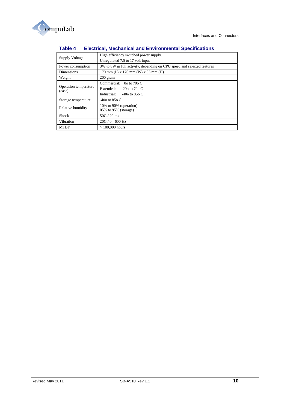

| Supply Voltage                  | High efficiency switched power supply.                                  |  |  |  |
|---------------------------------|-------------------------------------------------------------------------|--|--|--|
|                                 | Unregulated 7.5 to 17 volt input                                        |  |  |  |
| Power consumption               | 3W to 8W in full activity, depending on CPU speed and selected features |  |  |  |
| <b>Dimensions</b>               | $170$ mm (L) x $170$ mm (W) x $35$ mm (H)                               |  |  |  |
| Weight                          | $200$ gram                                                              |  |  |  |
|                                 | Commercial: 0o to 70o C                                                 |  |  |  |
| Operation temperature<br>(case) | Extended:<br>$-20$ o to $70$ o C                                        |  |  |  |
|                                 | Industrial:<br>$-40$ o to 850 C                                         |  |  |  |
| Storage temperature             | -40 $\sigma$ to 85 $\sigma$ C                                           |  |  |  |
| Relative humidity               | 10% to 90% (operation)                                                  |  |  |  |
|                                 | 05% to 95% (storage)                                                    |  |  |  |
| <b>Shock</b>                    | $50G / 20$ ms                                                           |  |  |  |
| Vibration                       | $20G / 0 - 600 Hz$                                                      |  |  |  |
| <b>MTBF</b>                     | $>100,000$ hours                                                        |  |  |  |

### **Table 4 Electrical, Mechanical and Environmental Specifications**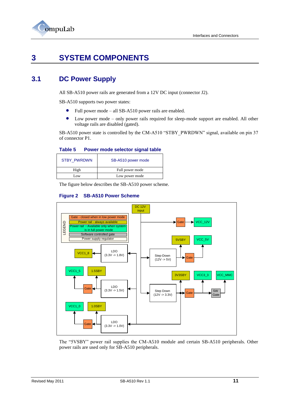

# <span id="page-10-0"></span>**3 SYSTEM COMPONENTS**

## <span id="page-10-1"></span>**3.1 DC Power Supply**

All SB-A510 power rails are generated from a 12V DC input (connector J2).

SB-A510 supports two power states:

- Full power mode all SB-A510 power rails are enabled.
- Low power mode only power rails required for sleep-mode support are enabled. All other voltage rails are disabled (gated).

SB-A510 power state is controlled by the CM-A510 "STBY\_PWRDWN" signal, available on pin 37 of connector P1.

#### **Table 5 Power mode selector signal table**

| <b>STBY PWRDWN</b> | SB-A510 power mode |
|--------------------|--------------------|
| High               | Full power mode    |
| Low.               | Low power mode     |

The figure below describes the SB-A510 power scheme.

#### **Figure 2 SB-A510 Power Scheme**



The "5VSBY" power rail supplies the CM-A510 module and certain SB-A510 peripherals. Other power rails are used only for SB-A510 peripherals.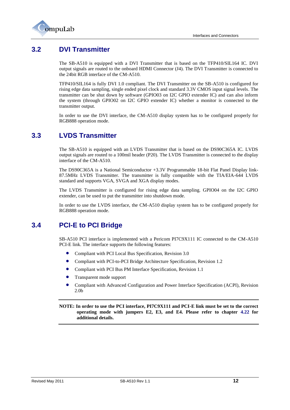

## <span id="page-11-0"></span>**3.2 DVI Transmitter**

The SB-A510 is equipped with a DVI Transmitter that is based on the TFP410/SIL164 IC. DVI output signals are routed to the onboard HDMI Connector (J4). The DVI Transmitter is connected to the 24bit RGB interface of the CM-A510.

TFP410/SIL164 is fully DVI 1.0 compliant. The DVI Transmitter on the SB-A510 is configured for rising edge data sampling, single ended pixel clock and standard 3.3V CMOS input signal levels. The transmitter can be shut down by software (GPIO03 on I2C GPIO extender IC) and can also inform the system (through GPIO02 on I2C GPIO extender IC) whether a monitor is connected to the transmitter output.

In order to use the DVI interface, the CM-A510 display system has to be configured properly for RGB888 operation mode.

## <span id="page-11-1"></span>**3.3 LVDS Transmitter**

The SB-A510 is equipped with an LVDS Transmitter that is based on the DS90C365A IC. LVDS output signals are routed to a 100mil header (P20). The LVDS Transmitter is connected to the display interface of the CM-A510.

The DS90C365A is a National Semiconductor +3.3V Programmable 18-bit Flat Panel Display link-87.5MHz LVDS Transmitter. The transmitter is fully compatible with the TIA/EIA-644 LVDS standard and supports VGA, SVGA and XGA display modes.

The LVDS Transmitter is configured for rising edge data sampling. GPIO04 on the I2C GPIO extender, can be used to put the transmitter into shutdown mode.

In order to use the LVDS interface, the CM-A510 display system has to be configured properly for RGB888 operation mode.

## <span id="page-11-2"></span>**3.4 PCI-E to PCI Bridge**

SB-A510 PCI interface is implemented with a Pericom PI7C9X111 IC connected to the CM-A510 PCI-E link. The interface supports the following features:

- Compliant with PCI Local Bus Specification, Revision 3.0
- Compliant with PCI-to-PCI Bridge Architecture Specification, Revision 1.2
- Compliant with PCI Bus PM Interface Specification, Revision 1.1
- Transparent mode support
- Compliant with Advanced Configuration and Power Interface Specification (ACPI), Revision 2.0b

**NOTE: In order to use the PCI interface, PI7C9X111 and PCI-E link must be set to the correct operating mode with jumpers E2, E3, and E4. Please refer to chapter [4.22](#page-25-0) for additional details.**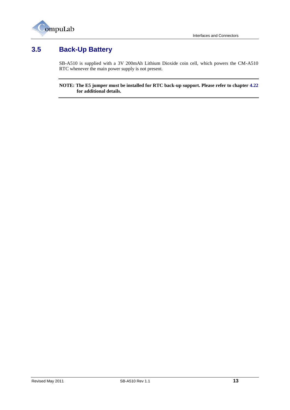

# <span id="page-12-0"></span>**3.5 Back-Up Battery**

SB-A510 is supplied with a 3V 200mAh Lithium Dioxide coin cell, which powers the CM-A510 RTC whenever the main power supply is not present.

**NOTE: The E5 jumper must be installed for RTC back-up support. Please refer to chapter [4.22](#page-25-0) for additional details.**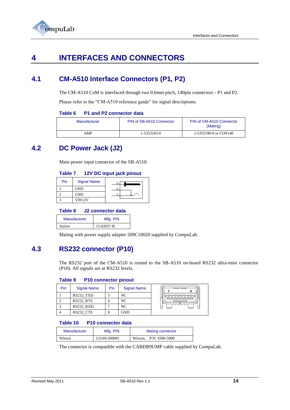

# <span id="page-13-0"></span>**4 INTERFACES AND CONNECTORS**

## <span id="page-13-1"></span>**4.1 CM-A510 Interface Connectors (P1, P2)**

The CM-A510 CoM is interfaced through two 0.6mm pitch, 140pin connectors - P1 and P2. Please refer to the "CM-A510 reference guide" for signal descriptions.

### **Table 6 P1 and P2 connector data**

| Manufacturer | P/N of SB-A510 Connector | P/N of CM-A510 Connector<br>(Mating) |
|--------------|--------------------------|--------------------------------------|
| AMP          | 1-5353183-0              | 1-5353190-0 or CON140                |

## <span id="page-13-2"></span>**4.2 DC Power Jack (J2)**

Main power input connector of the SB-A510.

### **Table 7 12V DC input jack pinout**

| Pin | <b>Signal Name</b> |  |
|-----|--------------------|--|
|     | <b>GND</b>         |  |
|     | <b>GND</b>         |  |
|     | <b>VIN12V</b>      |  |

### **Table 8 J2 connector data**

| Manufacturer | Mfg. P/N   |
|--------------|------------|
| Astron       | 15-02037-R |

Mating with power supply adapter 209C10020 supplied by CompuLab.

## <span id="page-13-3"></span>**4.3 RS232 connector (P10)**

The RS232 port of the CM-A510 is routed to the SB-A510 on-board RS232 ultra-mini connector (P10). All signals are at RS232 levels.

| Table 9 | P10 connector pinout |  |
|---------|----------------------|--|
|         |                      |  |

| Pin | <b>Signal Name</b> | Pin | <b>Signal Name</b> |      |
|-----|--------------------|-----|--------------------|------|
|     | RS232 TXD          |     | NC                 | AAAA |
|     | RS232 RTS          |     | NC                 |      |
|     | RS232 RXD          |     | NC                 |      |
|     | RS232 CTS          |     | GND                |      |

### **Table 10 P10 connector data**

| <b>Manufacturer</b> | Mfg. P/N     | Mating connector          |
|---------------------|--------------|---------------------------|
| Wieson              | G3169-500001 | Wieson, $P/N$ : 4306-5000 |

The connector is compatible with the CABDB9UMP cable supplied by CompuLab.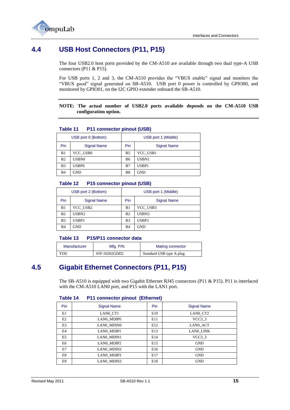

## <span id="page-14-0"></span>**4.4 USB Host Connectors (P11, P15)**

The four USB2.0 host ports provided by the CM-A510 are available through two dual type-A USB connectors (P11  $&$  P15).

For USB ports 1, 2 and 3, the CM-A510 provides the "VBUS enable" signal and monitors the "VBUS good" signal generated on SB-A510. USB port 0 power is controlled by GPIO00, and monitored by GPIO01, on the I2C GPIO extender onboard the SB-A510.

### **NOTE: The actual number of USB2.0 ports available depends on the CM-A510 USB configuration option.**

### **Table 11 P11 connector pinout (USB)**

| USB port 0 (Bottom) |                    | USB port 1 (Middle) |                    |
|---------------------|--------------------|---------------------|--------------------|
| Pin                 | <b>Signal Name</b> | Pin                 | <b>Signal Name</b> |
| B1                  | VCC USB0           | B5                  | VCC USB1           |
| B <sub>2</sub>      | <b>USBN0</b>       | B6                  | USBN1              |
| B <sub>3</sub>      | <b>USBP0</b>       | B7                  | USBP1              |
| <b>B4</b>           | <b>GND</b>         | B <sub>8</sub>      | <b>GND</b>         |

### **Table 12 P15 connector pinout (USB)**

| USB port 2 (Bottom) |                    | USB port 1 (Middle) |                    |
|---------------------|--------------------|---------------------|--------------------|
| <b>Pin</b>          | <b>Signal Name</b> | Pin                 | <b>Signal Name</b> |
| B1                  | VCC USB2           | B1                  | VCC USB3           |
| B <sub>2</sub>      | USBN2              | B <sub>2</sub>      | USBN3              |
| B <sub>3</sub>      | USBP2              | B <sub>3</sub>      | USBP3              |
| <b>B</b> 4          | GND                | B <sub>4</sub>      | <b>GND</b>         |

### **Table 13 P15/P11 connector data**

| <b>Manufacturer</b> | Mfg. P/N      | Mating connector         |  |
|---------------------|---------------|--------------------------|--|
| <b>YDS</b>          | 45F-10202GDD2 | Standard USB type A plug |  |

## <span id="page-14-1"></span>**4.5 Gigabit Ethernet Connectors (P11, P15)**

The SB-A510 is equipped with two Gigabit Ethernet RJ45 connectors (P11 & P15). P11 is interfaced with the CM-A510 LAN0 port, and P15 with the LAN1 port.

#### **Table 14 P11 connector pinout (Ethernet)**

| Pin            | <b>Signal Name</b> | <b>Pin</b>      | <b>Signal Name</b> |
|----------------|--------------------|-----------------|--------------------|
| E1             | LANO CT1           | E10             | LANO CT2           |
| E2             | LAN0 MDIP0         | E11             | $VCC3$ 3           |
| E <sub>3</sub> | LAN0 MDIN0         | E12             | LAN0 ACT           |
| E <sub>4</sub> | LAN0 MDIP1         | E13             | LANO LINK          |
| E <sub>5</sub> | LAN0 MDIN1         | E14             | VCC3 3             |
| E <sub>6</sub> | LANO MDIP2         | E <sub>15</sub> | <b>GND</b>         |
| E7             | LAN0 MDIN2         | E <sub>16</sub> | <b>GND</b>         |
| E8             | LAN0 MDIP3         | E17             | <b>GND</b>         |
| E9             | LAN0 MDIN3         | E18             | <b>GND</b>         |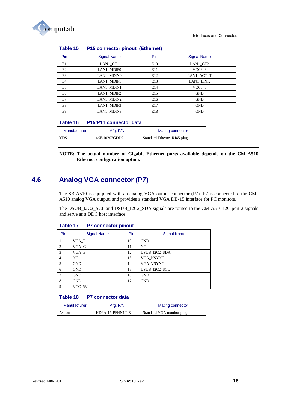

| 1 UNIV 1 V     |                    |                 |                    |
|----------------|--------------------|-----------------|--------------------|
| <b>Pin</b>     | <b>Signal Name</b> | <b>Pin</b>      | <b>Signal Name</b> |
| E1             | LAN1 CT1           | E10             | LAN1 CT2           |
| E2             | LAN1 MDIP0         | E11             | $VCC3$ 3           |
| E <sub>3</sub> | LAN1 MDIN0         | E12             | LAN1 ACT T         |
| E4             | LAN1_MDIP1         | E13             | LAN1 LINK          |
| E <sub>5</sub> | LAN1 MDIN1         | E14             | $VCC3$ 3           |
| E6             | LAN1 MDIP2         | E <sub>15</sub> | <b>GND</b>         |
| E7             | LAN1 MDIN2         | E <sub>16</sub> | <b>GND</b>         |
| E8             | LAN1 MDIP3         | E17             | <b>GND</b>         |
| E9             | LAN1 MDIN3         | E18             | <b>GND</b>         |

### **Table 15 P15 connector pinout (Ethernet)**

### **Table 16 P15/P11 connector data**

| Manufacturer | Mfg. P/N      | Mating connector            |
|--------------|---------------|-----------------------------|
| YDS          | 45F-10202GDD2 | Standard Ethernet RJ45 plug |

**NOTE: The actual number of Gigabit Ethernet ports available depends on the CM-A510 Ethernet configuration option.**

## <span id="page-15-0"></span>**4.6 Analog VGA connector (P7)**

The SB-A510 is equipped with an analog VGA output connector (P7). P7 is connected to the CM-A510 analog VGA output, and provides a standard VGA DB-15 interface for PC monitors.

The DSUB\_I2C2\_SCL and DSUB\_I2C2\_SDA signals are routed to the CM-A510 I2C port 2 signals and serve as a DDC host interface.

| Pin            | <b>Signal Name</b> | Pin | <b>Signal Name</b> |
|----------------|--------------------|-----|--------------------|
|                | VGA R              | 10  | <b>GND</b>         |
| 2              | VGA G              | 11  | NC                 |
| 3              | VGA B              | 12  | DSUB_I2C2_SDA      |
| $\overline{4}$ | NC                 | 13  | VGA HSYNC          |
| 5              | <b>GND</b>         | 14  | VGA VSYNC          |
| 6              | <b>GND</b>         | 15  | DSUB I2C2 SCL      |
| $\mathcal{I}$  | <b>GND</b>         | 16  | <b>GND</b>         |
| 8              | <b>GND</b>         | 17  | <b>GND</b>         |
| 9              | VCC 5V             |     |                    |

#### **Table 17 P7 connector pinout**

### **Table 18 P7 connector data**

| Manufacturer | Mfg. P/N         | <b>Mating connector</b>   |
|--------------|------------------|---------------------------|
| Astron       | HD6A-15-PFHN1T-R | Standard VGA monitor plug |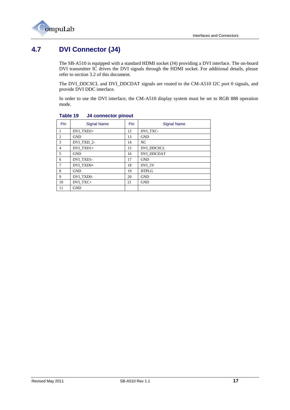

## <span id="page-16-0"></span>**4.7 DVI Connector (J4)**

The SB-A510 is equipped with a standard HDMI socket (J4) providing a DVI interface. The on-board DVI transmitter IC drives the DVI signals through the HDMI socket. For additional details, please refer to section [3.2](#page-11-0) of this document.

The DVI\_DDCSCL and DVI\_DDCDAT signals are routed to the CM-A510 I2C port 0 signals, and provide DVI DDC interface.

In order to use the DVI interface, the CM-A510 display system must be set to RGB 888 operation mode.

| Pin            | <b>Signal Name</b> | Pin | <b>Signal Name</b> |
|----------------|--------------------|-----|--------------------|
|                | DVI_TXD2+          | 12  | DVI TXC-           |
| 2              | <b>GND</b>         | 13  | <b>GND</b>         |
| 3              | DVI TXD 2-         | 14  | NC                 |
| $\overline{4}$ | DVI TXD1+          | 15  | DVI DDCSCL         |
| 5              | <b>GND</b>         | 16  | <b>DVI DDCDAT</b>  |
| 6              | DVI TXD1-          | 17  | <b>GND</b>         |
| 7              | DVI TXD0+          | 18  | DVI 5V             |
| 8              | <b>GND</b>         | 19  | <b>HTPLG</b>       |
| 9              | DVI TXD0-          | 20  | <b>GND</b>         |
| 10             | DVI TXC+           | 21  | <b>GND</b>         |
| 11             | <b>GND</b>         |     |                    |

### **Table 19 J4 connector pinout**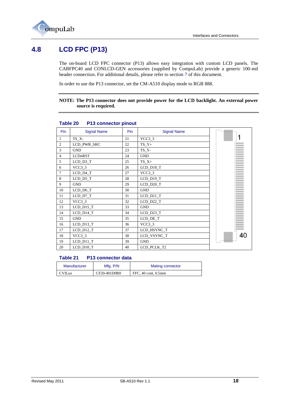

## <span id="page-17-0"></span>**4.8 LCD FPC (P13)**

The on-board LCD FPC connector (P13) allows easy integration with custom LCD panels. The CABFPC40 and CONLCD-GEN accessories (supplied by CompuLab) provide a generic 100-mil header connection. For additional details, please refer to section [7](#page-30-0) of this document.

In order to use the P13 connector, set the CM-A510 display mode to RGB 888.

#### **NOTE: The P13 connector does not provide power for the LCD backlight. An external power source is required.**

| Pin            | <b>Signal Name</b> | Pin | <b>Signal Name</b> |    |
|----------------|--------------------|-----|--------------------|----|
| 1              | TS_X-              | 21  | $VCC3_3$           |    |
| $\sqrt{2}$     | LCD_PWR_SRC        | 22  | $TS_Y+$            |    |
| 3              | <b>GND</b>         | 23  | TS_Y-              |    |
| 4              | <b>LCDnRST</b>     | 24  | <b>GND</b>         |    |
| 5              | $LCD_D3_T$         | 25  | $TS_X+$            |    |
| 6              | $VCC3_3$           | 26  | LCD_D18_T          |    |
| $\overline{7}$ | $LCD_D4_T$         | 27  | $VCC3_3$           |    |
| 8              | LCD D5 T           | 28  | LCD_D19_T          |    |
| 9              | <b>GND</b>         | 29  | $LCD_D20_T$        |    |
| 10             | LCD_D6_T           | 30  | <b>GND</b>         |    |
| 11             | LCD_D7_T           | 31  | $LCD_D21_T$        |    |
| 12             | $VCC3_3$           | 32  | LCD D22 T          |    |
| 13             | $LCD_D15_T$        | 33  | <b>GND</b>         |    |
| 14             | $LCD_D14_T$        | 34  | $LCD_D23_T$        |    |
| 15             | <b>GND</b>         | 35  | LCD_DE_T           |    |
| 16             | $LCD_D13_T$        | 36  | $VCC3_3$           |    |
| 17             | LCD_D12_T          | 37  | LCD_HSYNC_T        |    |
| 18             | $VCC3_3$           | 38  | LCD_VSYNC_T        | 40 |
| 19             | $LCD_D11_T$        | 39  | <b>GND</b>         |    |
| 20             | LCD D10 T          | 40  | LCD PCLK T2        |    |

#### **Table 20 P13 connector pinout**

### **Table 21 P13 connector data**

| <b>Manufacturer</b><br>Mfg. P/N |              | Mating connector         |
|---------------------------------|--------------|--------------------------|
| <b>CVIL</b> ux                  | CF20-401D0R0 | $FFC, 40$ cont, $0.5$ mm |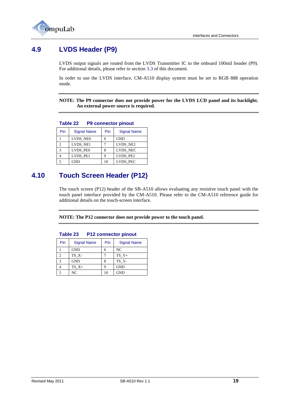

## <span id="page-18-0"></span>**4.9 LVDS Header (P9)**

LVDS output signals are routed from the LVDS Transmitter IC to the onboard 100mil header (P9). For additional details, please refer to section [3.3](#page-11-1) of this document.

In order to use the LVDS interface, CM-A510 display system must be set to RGB 888 operation mode.

**NOTE: The P9 connector does not provide power for the LVDS LCD panel and its backlight. An external power source is required.**

**Table 22 P9 connector pinout**

| Pin | <b>Signal Name</b> | Pin | <b>Signal Name</b> |
|-----|--------------------|-----|--------------------|
|     | LVDS_NE0           | 6   | <b>GND</b>         |
|     | LVDS NE1           |     | LVDS NE2           |
|     | LVDS PE0           |     | LVDS NEC           |
|     | LVDS PE1           | q   | LVDS PE2           |
|     | <b>GND</b>         | 10  | LVDS PEC           |

## <span id="page-18-1"></span>**4.10 Touch Screen Header (P12)**

The touch screen (P12) header of the SB-A510 allows evaluating any resistive touch panel with the touch panel interface provided by the CM-A510. Please refer to the CM-A510 reference guide for additional details on the touch-screen interface.

**NOTE: The P12 connector does not provide power to the touch panel.**

| Pin                    | <b>Signal Name</b> | Pin | <b>Signal Name</b> |  |
|------------------------|--------------------|-----|--------------------|--|
|                        | <b>GND</b>         | 6   | NC                 |  |
|                        | TS X-              |     | $TSY+$             |  |
| $\mathbf{\mathcal{R}}$ | <b>GND</b>         |     | TS Y-              |  |
|                        | $TS$ $X+$          |     | <b>GND</b>         |  |
|                        | NC                 | 10  | <b>GND</b>         |  |

### **Table 23 P12 connector pinout**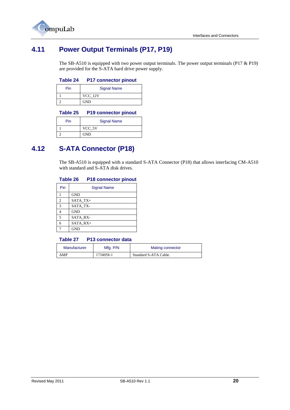

## <span id="page-19-0"></span>**4.11 Power Output Terminals (P17, P19)**

The SB-A510 is equipped with two power output terminals. The power output terminals (P17 & P19) are provided for the S-ATA hard drive power supply.

### **Table 24 P17 connector pinout**

| Pin | <b>Signal Name</b> |
|-----|--------------------|
|     | VCC 12V            |
|     | <b>GND</b>         |

#### **Table 25 P19 connector pinout**

| Pin | <b>Signal Name</b> |
|-----|--------------------|
|     | $VCC_5V$           |
|     | <b>GND</b>         |

## <span id="page-19-1"></span>**4.12 S-ATA Connector (P18)**

The SB-A510 is equipped with a standard S-ATA Connector (P18) that allows interfacing CM-A510 with standard and S-ATA disk drives.

### **Table 26 P18 connector pinout**

| Pin            | <b>Signal Name</b> |
|----------------|--------------------|
|                | <b>GND</b>         |
| $\overline{c}$ | SATA TX+           |
| 3              | SATA TX-           |
|                | <b>GND</b>         |
| 5              | SATA RX-           |
|                | SATA_RX+           |
|                | <b>GND</b>         |

### **Table 27 P13 connector data**

| Manufacturer | Mfg. P/N  | <b>Mating connector</b> |  |
|--------------|-----------|-------------------------|--|
| AMP          | 1734058-1 | Standard S-ATA Cable.   |  |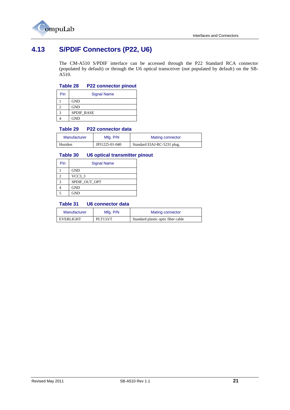

## <span id="page-20-0"></span>**4.13 S/PDIF Connectors (P22, U6)**

The CM-A510 S/PDIF interface can be accessed through the P22 Standard RCA connector (populated by default) or through the U6 optical transceiver (not populated by default) on the SB-A510.

### **Table 28 P22 connector pinout**

| Pin | <b>Signal Name</b> |
|-----|--------------------|
|     | <b>GND</b>         |
|     | <b>GND</b>         |
|     | <b>SPDIF BASE</b>  |
|     | <b>GND</b>         |

### **Table 29 P22 connector data**

| Manufacturer | Mfg. P/N       | Mating connector            |  |
|--------------|----------------|-----------------------------|--|
| Hosiden      | JPJ1225-01-040 | Standard EIAJ-RC-5231 plug. |  |

### **Table 30 U6 optical transmitter pinout**

| Pin | <b>Signal Name</b> |
|-----|--------------------|
|     | <b>GND</b>         |
|     | $VCC3$ 3           |
|     | SPDIF_OUT_OPT      |
|     | <b>GND</b>         |
|     | <b>GND</b>         |

### **Table 31 U6 connector data**

| Manufacturer | Mfg. P/N | Mating connector                   |
|--------------|----------|------------------------------------|
| EVERLIGHT    | PLT133/T | Standard plastic optic fiber cable |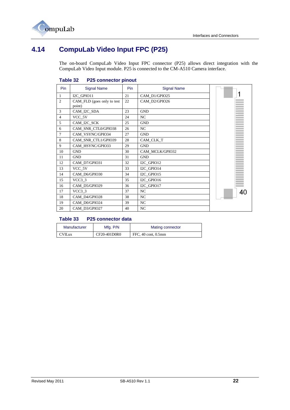

## <span id="page-21-0"></span>**4.14 CompuLab Video Input FPC (P25)**

The on-board CompuLab Video Input FPC connector (P25) allows direct integration with the CompuLab Video Input module. P25 is connected to the CM-A510 Camera interface.

| Pin             | <b>Signal Name</b>                   | Pin | <b>Signal Name</b> |  |
|-----------------|--------------------------------------|-----|--------------------|--|
| $\mathbf{1}$    | I2C GPIO11                           | 21  | CAM_D1/GPIO25      |  |
| $\overline{c}$  | CAM_FLD (goes only to test<br>point) | 22  | CAM D2/GPIO26      |  |
| 3               | CAM_I2C_SDA                          | 23  | <b>GND</b>         |  |
| $\overline{4}$  | VCC_5V                               | 24  | <b>NC</b>          |  |
| 5               | CAM_I2C_SCK                          | 25  | <b>GND</b>         |  |
| 6               | CAM_SNR_CTL0/GPIO38                  | 26  | NC                 |  |
| $7\phantom{.0}$ | CAM_VSYNC/GPIO34                     | 27  | <b>GND</b>         |  |
| 8               | CAM_SNR_CTL1/GPIO39                  | 28  | CAM_CLK_T          |  |
| 9               | CAM HSYNC/GPIO33                     | 29  | <b>GND</b>         |  |
| 10              | <b>GND</b>                           | 30  | CAM_MCLK/GPIO32    |  |
| 11              | <b>GND</b>                           | 31  | <b>GND</b>         |  |
| 12              | CAM D7/GPIO31                        | 32  | I2C_GPIO12         |  |
| 13              | $VCC_5V$                             | 33  | I2C_GPIO14         |  |
| 14              | CAM D6/GPIO30                        | 34  | I2C GPIO15         |  |
| 15              | VCC3 3                               | 35  | I2C GPIO16         |  |
| 16              | CAM_D5/GPIO29                        | 36  | I2C_GPIO17         |  |
| 17              | $VCC3$ 3                             | 37  | NC                 |  |
| 18              | CAM_D4/GPIO28                        | 38  | NC                 |  |
| 19              | CAM_D0/GPIO24                        | 39  | NC                 |  |
| 20              | CAM D3/GPIO27                        | 40  | N <sub>C</sub>     |  |

### **Table 32 P25 connector pinout**

### **Table 33 P25 connector data**

| Manufacturer<br>Mfg. P/N |              | Mating connector         |  |  |
|--------------------------|--------------|--------------------------|--|--|
| <b>CVILux</b>            | CF20-401D0R0 | $FFC, 40$ cont, $0.5$ mm |  |  |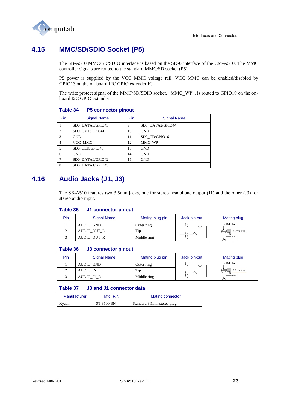

## <span id="page-22-0"></span>**4.15 MMC/SD/SDIO Socket (P5)**

The SB-A510 MMC/SD/SDIO interface is based on the SD-0 interface of the CM-A510. The MMC controller signals are routed to the standard MMC/SD socket (P5).

P5 power is supplied by the VCC\_MMC voltage rail. VCC\_MMC can be enabled/disabled by GPIO13 on the on-board I2C GPIO extender IC.

The write protect signal of the MMC/SD/SDIO socket, "MMC\_WP", is routed to GPIO10 on the onboard I2C GPIO extender.

| <b>Pin</b>     | <b>Signal Name</b> | Pin | <b>Signal Name</b> |
|----------------|--------------------|-----|--------------------|
|                | SD0 DATA3/GPIO45   | 9   | SD0 DATA2/GPIO44   |
| $\overline{2}$ | SD0 CMD/GPIO41     | 10  | <b>GND</b>         |
| 3              | <b>GND</b>         | 11  | SD0 CD/GPIO16      |
| 4              | VCC MMC            | 12  | MMC WP             |
| 5              | SD0 CLK/GPIO40     | 13  | GND                |
| 6              | <b>GND</b>         | 14  | <b>GND</b>         |
|                | SD0 DATA0/GPIO42   | 15  | <b>GND</b>         |
| 8              | SD0 DATA1/GPIO43   |     |                    |

### **Table 34 P5 connector pinout**

## <span id="page-22-1"></span>**4.16 Audio Jacks (J1, J3)**

The SB-A510 features two 3.5mm jacks, one for stereo headphone output (J1) and the other (J3) for stereo audio input.

#### **Table 35 J1 connector pinout**

| Pin | <b>Signal Name</b> | Mating plug pin | Jack pin-out | Mating plug       |
|-----|--------------------|-----------------|--------------|-------------------|
|     | AUDIO GND          | Outer ring      |              | Middle ring       |
|     | AUDIO OUT L        | Tip             |              | 3.5mm plug        |
|     | AUDIO_OUT_R        | Middle ring     |              | Outer ring<br>Tip |

### **Table 36 J3 connector pinout**

| Pin | <b>Signal Name</b> | Mating plug pin | Jack pin-out | <b>Mating plug</b> |
|-----|--------------------|-----------------|--------------|--------------------|
|     | AUDIO GND          | Outer ring      |              | Middle ring        |
|     | AUDIO IN L         | Tip             |              | 3.5mm plug         |
|     | AUDIO_IN_R         | Middle ring     |              | Outer ring<br>Tip  |

#### **Table 37 J3 and J1 connector data**

| Manufacturer<br>Mfg. P/N |            | Mating connector           |  |  |
|--------------------------|------------|----------------------------|--|--|
| Kycon                    | ST-3500-3N | Standard 3.5mm stereo plug |  |  |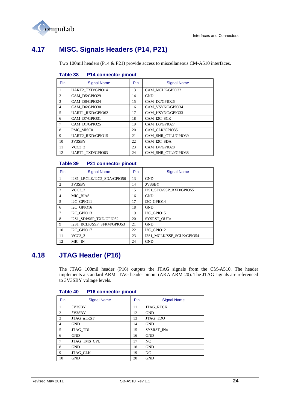

# <span id="page-23-0"></span>**4.17 MISC. Signals Headers (P14, P21)**

Two 100mil headers (P14 & P21) provide access to miscellaneous CM-A510 interfaces.

| Pin            | <b>Signal Name</b>      | <b>Pin</b> | <b>Signal Name</b>  |
|----------------|-------------------------|------------|---------------------|
| 1              | UART2_TXD/GPIO14        | 13         | CAM MCLK/GPIO32     |
| $\mathfrak{D}$ | CAM D5/GPIO29           | 14         | <b>GND</b>          |
| 3              | CAM D0/GPIO24           | 15         | CAM D2/GPIO26       |
| $\overline{4}$ | CAM D6/GPIO30           | 16         | CAM VSYNC/GPIO34    |
| 5              | UART1 RXD/GPIO62        | 17         | CAM HSYNC/GPIO33    |
| 6              | CAM D7/GPIO31           | 18         | CAM I2C SCK         |
| $\tau$         | CAM D1/GPIO25           | 19         | CAM D3/GPIO27       |
| 8              | PMC MISC0               | 20         | CAM CLK/GPIO35      |
| $\mathbf Q$    | <b>UART2 RXD/GPIO15</b> | 21         | CAM SNR CTL1/GPIO39 |
| 10             | 3V3SBY                  | 22         | CAM I2C SDA         |
| 11             | VCC3 3                  | 23         | CAM D4/GPIO28       |
| 12             | UART1 TXD/GPIO63        | 24         | CAM SNR CTL0/GPIO38 |

#### **Table 38 P14 connector pinout**

### **Table 39 P21 connector pinout**

| Pin            | <b>Signal Name</b>         | Pin | <b>Signal Name</b>        |
|----------------|----------------------------|-----|---------------------------|
| $\overline{1}$ | I2S1 LRCLK/I2C2_SDA/GPIO56 | 13  | <b>GND</b>                |
| $\overline{2}$ | 3V3SBY                     | 14  | 3V3SBY                    |
| 3              | $VCC3$ 3                   | 15  | I2S1 SDO/SSP RXD/GPIO55   |
| $\overline{4}$ | MIC BIAS                   | 16  | <b>GND</b>                |
| 5              | I2C GPIO11                 | 17  | I2C GPIO14                |
| -6             | I2C GPIO16                 | 18  | <b>GND</b>                |
| $\tau$         | I2C GPIO13                 | 19  | I2C GPIO15                |
| 8              | I2S1 SDI/SSP TXD/GPIO52    | 20  | SYSRST OUTn               |
| 9              | I2S1 BCLK/SSP SFRM/GPIO53  | 21  | <b>GND</b>                |
| 10             | I2C GPIO17                 | 22  | I2C GPIO12                |
| 11             | $VCC3$ 3                   | 23  | I2S1 MCLK/SSP SCLK/GPIO54 |
| 12             | MIC IN                     | 24  | <b>GND</b>                |

## <span id="page-23-1"></span>**4.18 JTAG Header (P16)**

The JTAG 100mil header (P16) outputs the JTAG signals from the CM-A510. The header implements a standard ARM JTAG header pinout (AKA ARM-20). The JTAG signals are referenced to 3V3SBY voltage levels.

| Pin             | <b>Signal Name</b>  | Pin | <b>Signal Name</b> |
|-----------------|---------------------|-----|--------------------|
| $\mathbf{1}$    | 3V3SBY              | 11  | <b>JTAG RTCK</b>   |
| 2               | 3V3SBY              | 12  | <b>GND</b>         |
| $\overline{3}$  | JTAG_nTRST          | 13  | <b>JTAG TDO</b>    |
| $\overline{4}$  | <b>GND</b>          | 14  | <b>GND</b>         |
| -5              | <b>JTAG TDI</b>     | 15  | SYSRST INn         |
| 6               | <b>GND</b>          | 16  | <b>GND</b>         |
| $7\phantom{.0}$ | <b>JTAG TMS CPU</b> | 17  | NC.                |
| 8               | <b>GND</b>          | 18  | <b>GND</b>         |
| 9               | <b>JTAG_CLK</b>     | 19  | NC                 |
| 10              | <b>GND</b>          | 20  | <b>GND</b>         |

#### **Table 40 P16 connector pinout**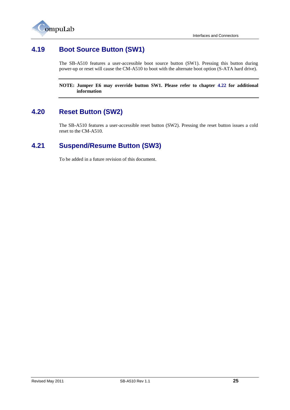

## <span id="page-24-0"></span>**4.19 Boot Source Button (SW1)**

The SB-A510 features a user-accessible boot source button (SW1). Pressing this button during power-up or reset will cause the CM-A510 to boot with the alternate boot option (S-ATA hard drive).

**NOTE: Jumper E6 may override button SW1. Please refer to chapter [4.22](#page-25-0) for additional information**

## <span id="page-24-1"></span>**4.20 Reset Button (SW2)**

The SB-A510 features a user-accessible reset button (SW2). Pressing the reset button issues a cold reset to the CM-A510.

## <span id="page-24-2"></span>**4.21 Suspend/Resume Button (SW3)**

To be added in a future revision of this document.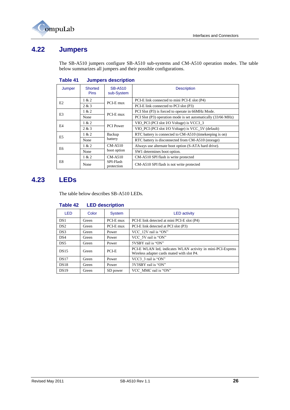

## <span id="page-25-0"></span>**4.22 Jumpers**

The SB-A510 jumpers configure SB-A510 sub-systems and CM-A510 operation modes. The table below summarizes all jumpers and their possible configurations.

| Jumper                                | <b>Shorted</b> | <b>SB-A510</b>          | <b>Description</b>                                            |  |
|---------------------------------------|----------------|-------------------------|---------------------------------------------------------------|--|
|                                       | <b>Pins</b>    | sub-System              |                                                               |  |
|                                       |                |                         |                                                               |  |
| E2                                    | 1 & 2          | PCI-E mux               | PCI-E link connected to mini PCI-E slot (P4)                  |  |
|                                       | 2 & 3          |                         | PCI-E link connected to PCI slot (P3)                         |  |
|                                       | 1 & 2          |                         | PCI Slot (P3) is forced to operate in 66MHz Mode.             |  |
| PCI-E mux<br>E <sub>3</sub><br>None   |                |                         | PCI Slot (P3) operation mode is set automatically (33/66 MHz) |  |
| E4                                    | 1 & 2          | <b>PCI</b> Power        | VIO PCI (PCI slot I/O Voltage) is VCC3 3                      |  |
|                                       | 2 & 3          |                         | VIO_PCI (PCI slot I/O Voltage) is VCC_5V (default)            |  |
| E5                                    | 1 & 2          | Backup                  | RTC battery is connected to CM-A510 (time keeping is on)      |  |
|                                       | None           | battery                 | RTC battery is disconnected from CM-A510 (storage)            |  |
|                                       | 1 & 2          | $CM-4510$               | Always use alternate boot option (S-ATA hard drive).          |  |
| E <sub>6</sub><br>boot option<br>None |                |                         | SW1 determines boot option.                                   |  |
|                                       | 1 & 2          | $CM-4510$               | CM-A510 SPI flash is write protected                          |  |
| E8                                    | None           | SPI-Flash<br>protection | CM-A510 SPI flash is not write protected                      |  |

### **Table 41 Jumpers description**

## <span id="page-25-1"></span>**4.23 LEDs**

The table below describes SB-A510 LEDs.

| Table 42 | <b>LED description</b> |
|----------|------------------------|
|----------|------------------------|

| <b>LED</b>      | Color | System    | <b>LED</b> activity                                                                                       |
|-----------------|-------|-----------|-----------------------------------------------------------------------------------------------------------|
| DS1             | Green | PCI-E mux | PCI-E link detected at mini PCI-E slot (P4)                                                               |
| DS <sub>2</sub> | Green | PCI-E mux | PCI-E link detected at PCI slot (P3)                                                                      |
| DS3             | Green | Power     | VCC 12V rail is "ON"                                                                                      |
| DS4             | Green | Power     | VCC 5V rail is "ON"                                                                                       |
| DS <sub>5</sub> | Green | Power     | 5VSBY rail is "ON"                                                                                        |
| DS15            | Green | PCI-E     | PCI-E WLAN led, indicates WLAN activity in mini-PCI-Express<br>Wireless adapter cards mated with slot P4. |
| DS17            | Green | Power     | VCC3 3 rail is "ON"                                                                                       |
| DS18            | Green | Power     | 3V3SBY rail is "ON"                                                                                       |
| <b>DS19</b>     | Green | SD power  | VCC MMC rail is "ON"                                                                                      |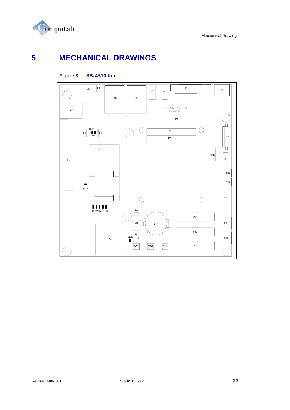

# <span id="page-26-0"></span>**5 MECHANICAL DRAWINGS**

### **Figure 3 SB-A510 top**

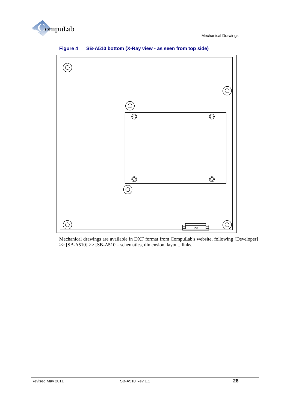



**Figure 4 SB-A510 bottom (X-Ray view - as seen from top side)**

Mechanical drawings are available in DXF format from CompuLab's website, following [Developer] >> [SB-A510] >> [SB-A510 – schematics, dimension, layout] links.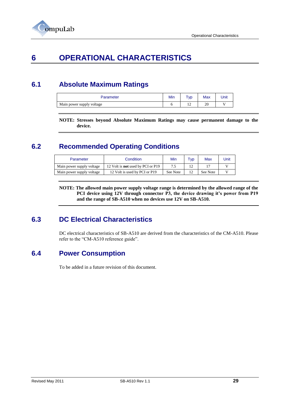

# <span id="page-28-0"></span>**6 OPERATIONAL CHARACTERISTICS**

## <span id="page-28-1"></span>**6.1 Absolute Maximum Ratings**

| Parameter                 | Min | yp           | Max | Unit |
|---------------------------|-----|--------------|-----|------|
| Main power supply voltage |     | $\sim$<br>-- | 20  |      |

**NOTE: Stresses beyond Absolute Maximum Ratings may cause permanent damage to the device.**

## <span id="page-28-2"></span>**6.2 Recommended Operating Conditions**

| Parameter                 | Condition                                | Min      | T <sub>VD</sub> | Max      | Unit |
|---------------------------|------------------------------------------|----------|-----------------|----------|------|
| Main power supply voltage | 12 Volt is <b>not</b> used by PCI or P19 |          |                 |          |      |
| Main power supply voltage | 12 Volt is used by PCI or P19            | See Note | 12              | See Note |      |

**NOTE: The allowed main power supply voltage range is determined by the allowed range of the PCI device using 12V through connector P3, the device drawing it's power from P19 and the range of SB-A510 when no devices use 12V on SB-A510.**

## <span id="page-28-3"></span>**6.3 DC Electrical Characteristics**

DC electrical characteristics of SB-A510 are derived from the characteristics of the CM-A510. Please refer to the "CM-A510 reference guide".

## <span id="page-28-4"></span>**6.4 Power Consumption**

To be added in a future revision of this document.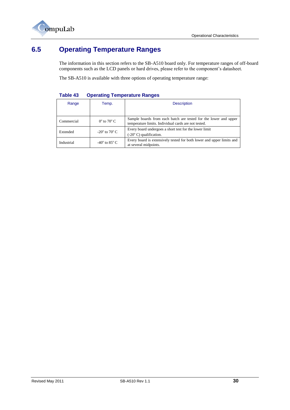

# <span id="page-29-0"></span>**6.5 Operating Temperature Ranges**

The information in this section refers to the SB-A510 board only. For temperature ranges of off-board components such as the LCD panels or hard drives, please refer to the component's datasheet.

The SB-A510 is available with three options of operating temperature range:

| Table 43 |  | <b>Operating Temperature Ranges</b> |  |
|----------|--|-------------------------------------|--|
|----------|--|-------------------------------------|--|

| Range      | Temp.                             | <b>Description</b>                                                                                                       |  |
|------------|-----------------------------------|--------------------------------------------------------------------------------------------------------------------------|--|
|            |                                   |                                                                                                                          |  |
| Commercial | $0^{\circ}$ to $70^{\circ}$ C     | Sample boards from each batch are tested for the lower and upper<br>temperature limits. Individual cards are not tested. |  |
| Extended   | $-20^{\circ}$ to $70^{\circ}$ C   | Every board undergoes a short test for the lower limit<br>$(-20^{\circ} \text{ C})$ qualification.                       |  |
| Industrial | -40 $^{\circ}$ to 85 $^{\circ}$ C | Every board is extensively tested for both lower and upper limits and<br>at several midpoints.                           |  |